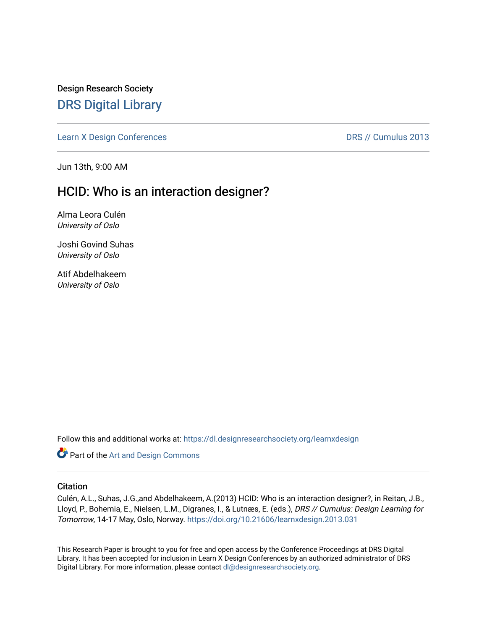Design Research Society [DRS Digital Library](https://dl.designresearchsociety.org/)

[Learn X Design Conferences](https://dl.designresearchsociety.org/learnxdesign) **DRS // Cumulus 2013** 

Jun 13th, 9:00 AM

# HCID: Who is an interaction designer?

Alma Leora Culén University of Oslo

Joshi Govind Suhas University of Oslo

Atif Abdelhakeem University of Oslo

Follow this and additional works at: [https://dl.designresearchsociety.org/learnxdesign](https://dl.designresearchsociety.org/learnxdesign?utm_source=dl.designresearchsociety.org%2Flearnxdesign%2Flearnxdesign2013%2Fresearchpapers%2F31&utm_medium=PDF&utm_campaign=PDFCoverPages)

**Part of the [Art and Design Commons](http://network.bepress.com/hgg/discipline/1049?utm_source=dl.designresearchsociety.org%2Flearnxdesign%2Flearnxdesign2013%2Fresearchpapers%2F31&utm_medium=PDF&utm_campaign=PDFCoverPages)** 

### **Citation**

Culén, A.L., Suhas, J.G.,and Abdelhakeem, A.(2013) HCID: Who is an interaction designer?, in Reitan, J.B., Lloyd, P., Bohemia, E., Nielsen, L.M., Digranes, I., & Lutnæs, E. (eds.), DRS // Cumulus: Design Learning for Tomorrow, 14-17 May, Oslo, Norway. <https://doi.org/10.21606/learnxdesign.2013.031>

This Research Paper is brought to you for free and open access by the Conference Proceedings at DRS Digital Library. It has been accepted for inclusion in Learn X Design Conferences by an authorized administrator of DRS Digital Library. For more information, please contact [dl@designresearchsociety.org](mailto:dl@designresearchsociety.org).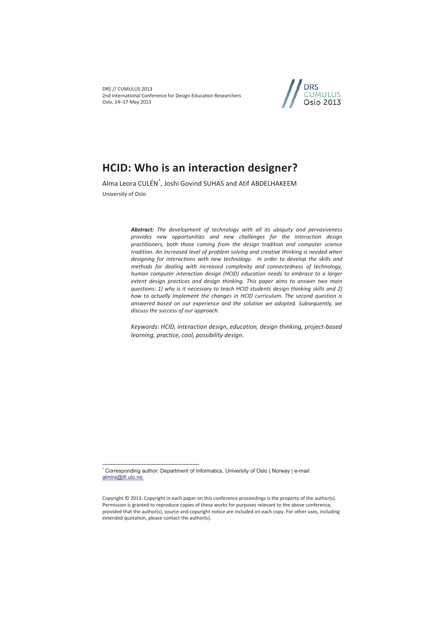DRS // CUMULUS 2013 2nd International Conference for Design Education Researchers Oslo, 14–17 May 2013



# **HCID: Who is an interaction designer?**

Alma Leora CULÉN\* , Joshi Govind SUHAS and Atif ABDELHAKEEM University of Oslo

> *Abstract: The development of technology with all its ubiquity and pervasiveness provides new opportunities and new challenges for the interaction design practitioners, both those coming from the design tradition and computer science tradition. An increased level of problem solving and creative thinking is needed when designing for interactions with new technology. In order to develop the skills and methods for dealing with increased complexity and connectedness of technology, human computer interaction design (HCID) education needs to embrace to a larger extent design practices and design thinking. This paper aims to answer two main questions: 1) why is it necessary to teach HCID students design thinking skills and 2) how to actually implement the changes in HCID curriculum. The second question is answered based on our experience and the solution we adopted. Subsequently, we discuss the success of our approach.*

> *Keywords: HCID, interaction design, education, design thinking, project-based learning, practice, cool, possibility design.*

 $\overline{a}$ 

<sup>\*</sup> Corresponding author: Department of Informatics, University of Oslo | Norway | e-mail: almira@ifi.uio.no

Copyright © 2013. Copyright in each paper on this conference proceedings is the property of the author(s). Permission is granted to reproduce copies of these works for purposes relevant to the above conference, provided that the author(s), source and copyright notice are included on each copy. For other uses, including extended quotation, please contact the author(s).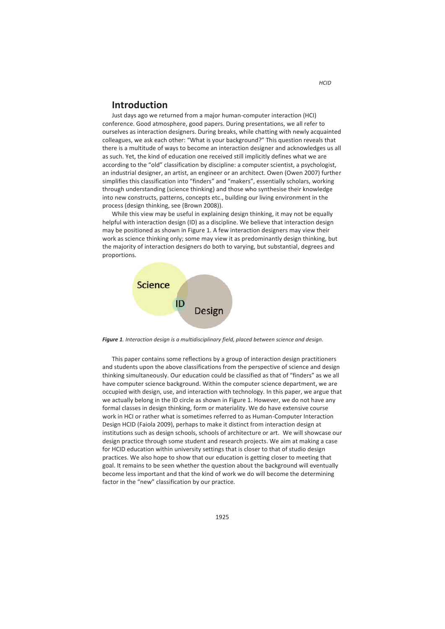# **Introduction**

Just days ago we returned from a major human-computer interaction (HCI) conference. Good atmosphere, good papers. During presentations, we all refer to ourselves as interaction designers. During breaks, while chatting with newly acquainted colleagues, we ask each other: "What is your background?" This question reveals that there is a multitude of ways to become an interaction designer and acknowledges us all as such. Yet, the kind of education one received still implicitly defines what we are according to the "old" classification by discipline: a computer scientist, a psychologist, an industrial designer, an artist, an engineer or an architect. Owen (Owen 2007) further simplifies this classification into "finders" and "makers", essentially scholars, working through understanding (science thinking) and those who synthesise their knowledge into new constructs, patterns, concepts etc., building our living environment in the process (design thinking, see (Brown 2008)).

While this view may be useful in explaining design thinking, it may not be equally helpful with interaction design (ID) as a discipline. We believe that interaction design may be positioned as shown in Figure 1. A few interaction designers may view their work as science thinking only; some may view it as predominantly design thinking, but the majority of interaction designers do both to varying, but substantial, degrees and proportions.



*Figure 1. Interaction design is a multidisciplinary field, placed between science and design.* 

This paper contains some reflections by a group of interaction design practitioners and students upon the above classifications from the perspective of science and design thinking simultaneously. Our education could be classified as that of "finders" as we all have computer science background. Within the computer science department, we are occupied with design, use, and interaction with technology. In this paper, we argue that we actually belong in the ID circle as shown in Figure 1. However, we do not have any formal classes in design thinking, form or materiality. We do have extensive course work in HCI or rather what is sometimes referred to as Human-Computer Interaction Design HCID (Faiola 2009), perhaps to make it distinct from interaction design at institutions such as design schools, schools of architecture or art. We will showcase our design practice through some student and research projects. We aim at making a case for HCID education within university settings that is closer to that of studio design practices. We also hope to show that our education is getting closer to meeting that goal. It remains to be seen whether the question about the background will eventually become less important and that the kind of work we do will become the determining factor in the "new" classification by our practice.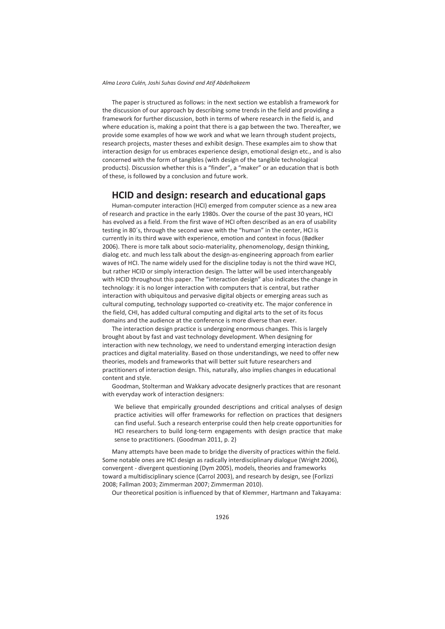The paper is structured as follows: in the next section we establish a framework for the discussion of our approach by describing some trends in the field and providing a framework for further discussion, both in terms of where research in the field is, and where education is, making a point that there is a gap between the two. Thereafter, we provide some examples of how we work and what we learn through student projects, research projects, master theses and exhibit design. These examples aim to show that interaction design for us embraces experience design, emotional design etc., and is also concerned with the form of tangibles (with design of the tangible technological products). Discussion whether this is a "finder", a "maker" or an education that is both of these, is followed by a conclusion and future work.

# **HCID and design: research and educational gaps**

Human-computer interaction (HCI) emerged from computer science as a new area of research and practice in the early 1980s. Over the course of the past 30 years, HCI has evolved as a field. From the first wave of HCI often described as an era of usability testing in 80´s, through the second wave with the "human" in the center, HCI is currently in its third wave with experience, emotion and context in focus (Bødker 2006). There is more talk about socio-materiality, phenomenology, design thinking, dialog etc. and much less talk about the design-as-engineering approach from earlier waves of HCI. The name widely used for the discipline today is not the third wave HCI, but rather HCID or simply interaction design. The latter will be used interchangeably with HCID throughout this paper. The "interaction design" also indicates the change in technology: it is no longer interaction with computers that is central, but rather interaction with ubiquitous and pervasive digital objects or emerging areas such as cultural computing, technology supported co-creativity etc. The major conference in the field, CHI, has added cultural computing and digital arts to the set of its focus domains and the audience at the conference is more diverse than ever.

The interaction design practice is undergoing enormous changes. This is largely brought about by fast and vast technology development. When designing for interaction with new technology, we need to understand emerging interaction design practices and digital materiality. Based on those understandings, we need to offer new theories, models and frameworks that will better suit future researchers and practitioners of interaction design. This, naturally, also implies changes in educational content and style.

Goodman, Stolterman and Wakkary advocate designerly practices that are resonant with everyday work of interaction designers:

We believe that empirically grounded descriptions and critical analyses of design practice activities will offer frameworks for reflection on practices that designers can find useful. Such a research enterprise could then help create opportunities for HCI researchers to build long-term engagements with design practice that make sense to practitioners*.* (Goodman 2011, p. 2)

Many attempts have been made to bridge the diversity of practices within the field. Some notable ones are HCI design as radically interdisciplinary dialogue (Wright 2006), convergent - divergent questioning (Dym 2005), models, theories and frameworks toward a multidisciplinary science (Carrol 2003), and research by design, see (Forlizzi 2008; Fallman 2003; Zimmerman 2007; Zimmerman 2010).

Our theoretical position is influenced by that of Klemmer, Hartmann and Takayama: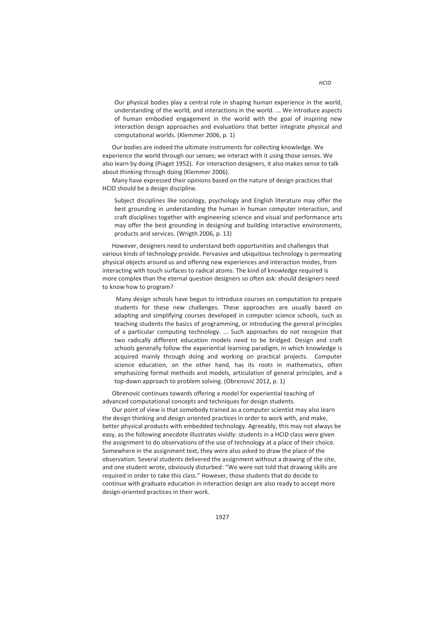Our bodies are indeed the ultimate instruments for collecting knowledge. We experience the world through our senses; we interact with it using those senses. We also learn by doing (Piaget 1952). For interaction designers, it also makes sense to talk about thinking through doing (Klemmer 2006).

Many have expressed their opinions based on the nature of design practices that HCID should be a design discipline.

Subject disciplines like sociology, psychology and English literature may offer the best grounding in understanding the human in human computer interaction, and craft disciplines together with engineering science and visual and performance arts may offer the best grounding in designing and building interactive environments, products and services. (Wrigth 2006, p. 13)

However, designers need to understand both opportunities and challenges that various kinds of technology provide. Pervasive and ubiquitous technology is permeating physical objects around us and offering new experiences and interaction modes, from interacting with touch surfaces to radical atoms. The kind of knowledge required is more complex than the eternal question designers so often ask: should designers need to know how to program?

 Many design schools have begun to introduce courses on computation to prepare students for these new challenges. These approaches are usually based on adapting and simplifying courses developed in computer science schools, such as teaching students the basics of programming, or introducing the general principles of a particular computing technology. ... Such approaches do not recognize that two radically different education models need to be bridged. Design and craft schools generally follow the experiential learning paradigm, in which knowledge is acquired mainly through doing and working on practical projects. Computer science education, on the other hand, has its roots in mathematics, often emphasizing formal methods and models, articulation of general principles, and a top-down approach to problem solving. (Obrenović 2012, p. 1)

Obrenović continues towards offering a model for experiential teaching of advanced computational concepts and techniques for design students.

Our point of view is that somebody trained as a computer scientist may also learn the design thinking and design oriented practices in order to work with, and make, better physical products with embedded technology. Agreeably, this may not always be easy, as the following anecdote illustrates vividly: students in a HCID class were given the assignment to do observations of the use of technology at a place of their choice. Somewhere in the assignment text, they were also asked to draw the place of the observation. Several students delivered the assignment without a drawing of the site, and one student wrote, obviously disturbed: "We were not told that drawing skills are required in order to take this class." However, those students that do decide to continue with graduate education in interaction design are also ready to accept more design-oriented practices in their work.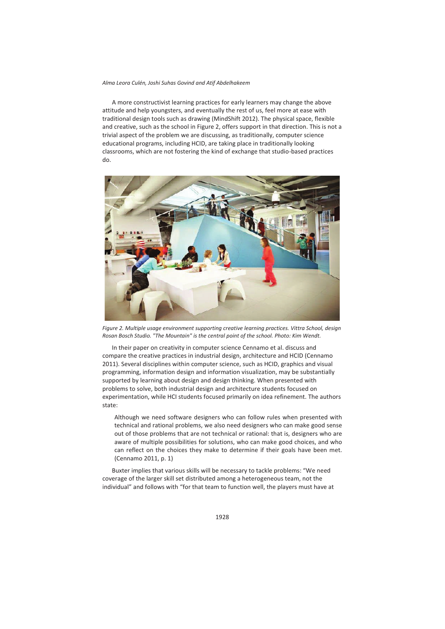A more constructivist learning practices for early learners may change the above attitude and help youngsters, and eventually the rest of us, feel more at ease with traditional design tools such as drawing (MindShift 2012). The physical space, flexible and creative, such as the school in Figure 2, offers support in that direction. This is not a trivial aspect of the problem we are discussing, as traditionally, computer science educational programs, including HCID, are taking place in traditionally looking classrooms, which are not fostering the kind of exchange that studio-based practices do.



*Figure 2. Multiple usage environment supporting creative learning practices. Vittra School, design Rosan Bosch Studio. "The Mountain" is the central point of the school. Photo: Kim Wendt.* 

In their paper on creativity in computer science Cennamo et al. discuss and compare the creative practices in industrial design, architecture and HCID (Cennamo 2011). Several disciplines within computer science, such as HCID, graphics and visual programming, information design and information visualization, may be substantially supported by learning about design and design thinking. When presented with problems to solve, both industrial design and architecture students focused on experimentation, while HCI students focused primarily on idea refinement. The authors state:

Although we need software designers who can follow rules when presented with technical and rational problems, we also need designers who can make good sense out of those problems that are not technical or rational: that is, designers who are aware of multiple possibilities for solutions, who can make good choices, and who can reflect on the choices they make to determine if their goals have been met. (Cennamo 2011, p. 1)

Buxter implies that various skills will be necessary to tackle problems: "We need coverage of the larger skill set distributed among a heterogeneous team, not the individual" and follows with "for that team to function well, the players must have at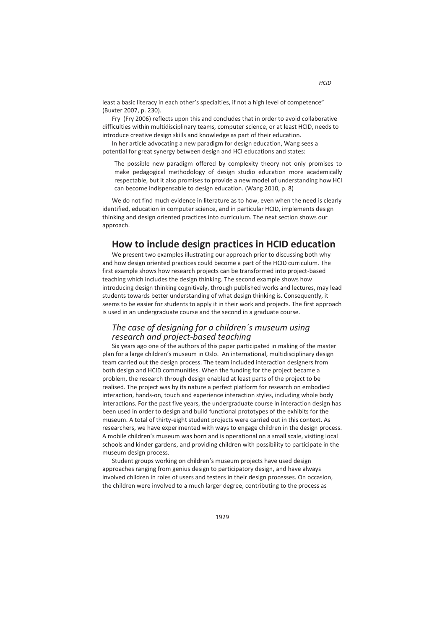least a basic literacy in each other's specialties, if not a high level of competence" (Buxter 2007, p. 230).

Fry (Fry 2006) reflects upon this and concludes that in order to avoid collaborative difficulties within multidisciplinary teams, computer science, or at least HCID, needs to introduce creative design skills and knowledge as part of their education.

In her article advocating a new paradigm for design education, Wang sees a potential for great synergy between design and HCI educations and states:

The possible new paradigm offered by complexity theory not only promises to make pedagogical methodology of design studio education more academically respectable, but it also promises to provide a new model of understanding how HCI can become indispensable to design education. (Wang 2010, p. 8)

We do not find much evidence in literature as to how, even when the need is clearly identified, education in computer science, and in particular HCID, implements design thinking and design oriented practices into curriculum. The next section shows our approach.

# **How to include design practices in HCID education**

We present two examples illustrating our approach prior to discussing both why and how design oriented practices could become a part of the HCID curriculum. The first example shows how research projects can be transformed into project-based teaching which includes the design thinking. The second example shows how introducing design thinking cognitively, through published works and lectures, may lead students towards better understanding of what design thinking is. Consequently, it seems to be easier for students to apply it in their work and projects. The first approach is used in an undergraduate course and the second in a graduate course.

### *The case of designing for a children´s museum using research and project-based teaching*

Six years ago one of the authors of this paper participated in making of the master plan for a large children's museum in Oslo. An international, multidisciplinary design team carried out the design process. The team included interaction designers from both design and HCID communities. When the funding for the project became a problem, the research through design enabled at least parts of the project to be realised. The project was by its nature a perfect platform for research on embodied interaction, hands-on, touch and experience interaction styles, including whole body interactions. For the past five years, the undergraduate course in interaction design has been used in order to design and build functional prototypes of the exhibits for the museum. A total of thirty-eight student projects were carried out in this context. As researchers, we have experimented with ways to engage children in the design process. A mobile children's museum was born and is operational on a small scale, visiting local schools and kinder gardens, and providing children with possibility to participate in the museum design process.

Student groups working on children's museum projects have used design approaches ranging from genius design to participatory design, and have always involved children in roles of users and testers in their design processes. On occasion, the children were involved to a much larger degree, contributing to the process as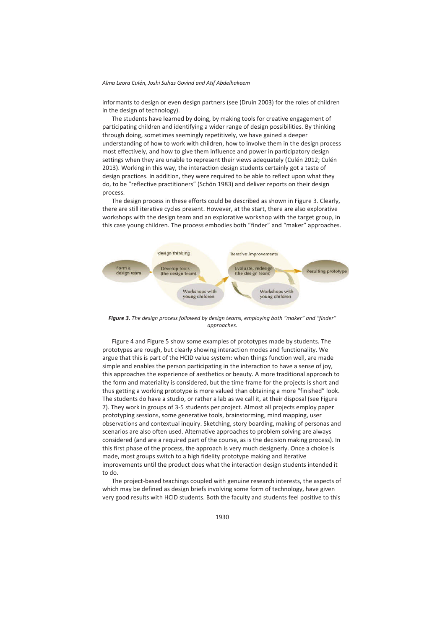informants to design or even design partners (see (Druin 2003) for the roles of children in the design of technology).

The students have learned by doing, by making tools for creative engagement of participating children and identifying a wider range of design possibilities. By thinking through doing, sometimes seemingly repetitively, we have gained a deeper understanding of how to work with children, how to involve them in the design process most effectively, and how to give them influence and power in participatory design settings when they are unable to represent their views adequately (Culén 2012; Culén 2013). Working in this way, the interaction design students certainly got a taste of design practices. In addition, they were required to be able to reflect upon what they do, to be "reflective practitioners" (Schön 1983) and deliver reports on their design process.

The design process in these efforts could be described as shown in Figure 3. Clearly, there are still iterative cycles present. However, at the start, there are also explorative workshops with the design team and an explorative workshop with the target group, in this case young children. The process embodies both "finder" and "maker" approaches.



*Figure 3. The design process followed by design teams, employing both "maker" and "finder" approaches.* 

Figure 4 and Figure 5 show some examples of prototypes made by students. The prototypes are rough, but clearly showing interaction modes and functionality. We argue that this is part of the HCID value system: when things function well, are made simple and enables the person participating in the interaction to have a sense of joy, this approaches the experience of aesthetics or beauty. A more traditional approach to the form and materiality is considered, but the time frame for the projects is short and thus getting a working prototype is more valued than obtaining a more "finished" look. The students do have a studio, or rather a lab as we call it, at their disposal (see Figure 7). They work in groups of 3-5 students per project. Almost all projects employ paper prototyping sessions, some generative tools, brainstorming, mind mapping, user observations and contextual inquiry. Sketching, story boarding, making of personas and scenarios are also often used. Alternative approaches to problem solving are always considered (and are a required part of the course, as is the decision making process). In this first phase of the process, the approach is very much designerly. Once a choice is made, most groups switch to a high fidelity prototype making and iterative improvements until the product does what the interaction design students intended it to do.

The project-based teachings coupled with genuine research interests, the aspects of which may be defined as design briefs involving some form of technology, have given very good results with HCID students. Both the faculty and students feel positive to this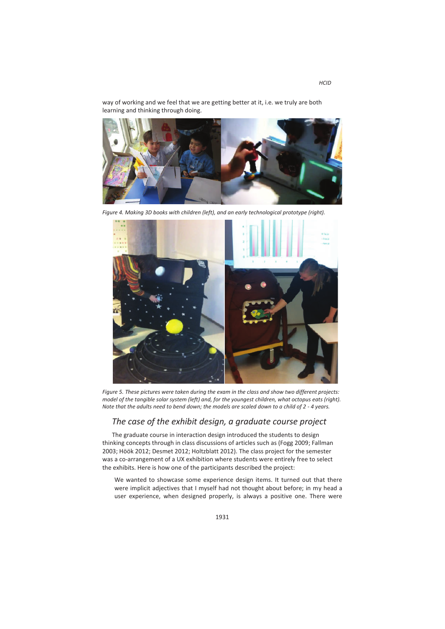way of working and we feel that we are getting better at it, i.e. we truly are both learning and thinking through doing.



*Figure 4. Making 3D books with children (left), and an early technological prototype (right).* 



*Figure 5. These pictures were taken during the exam in the class and show two different projects: model of the tangible solar system (left) and, for the youngest children, what octopus eats (right). Note that the adults need to bend down; the models are scaled down to a child of 2 - 4 years.* 

# *The case of the exhibit design, a graduate course project*

The graduate course in interaction design introduced the students to design thinking concepts through in class discussions of articles such as (Fogg 2009; Fallman 2003; Höök 2012; Desmet 2012; Holtzblatt 2012). The class project for the semester was a co-arrangement of a UX exhibition where students were entirely free to select the exhibits. Here is how one of the participants described the project:

We wanted to showcase some experience design items. It turned out that there were implicit adjectives that I myself had not thought about before; in my head a user experience, when designed properly, is always a positive one. There were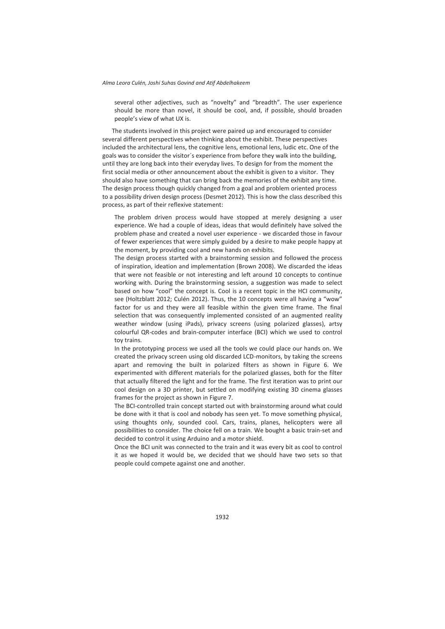several other adjectives, such as "novelty" and "breadth". The user experience should be more than novel, it should be cool, and, if possible, should broaden people's view of what UX is.

The students involved in this project were paired up and encouraged to consider several different perspectives when thinking about the exhibit. These perspectives included the architectural lens, the cognitive lens, emotional lens, ludic etc. One of the goals was to consider the visitor´s experience from before they walk into the building, until they are long back into their everyday lives. To design for from the moment the first social media or other announcement about the exhibit is given to a visitor. They should also have something that can bring back the memories of the exhibit any time. The design process though quickly changed from a goal and problem oriented process to a possibility driven design process (Desmet 2012). This is how the class described this process, as part of their reflexive statement:

The problem driven process would have stopped at merely designing a user experience. We had a couple of ideas, ideas that would definitely have solved the problem phase and created a novel user experience - we discarded those in favour of fewer experiences that were simply guided by a desire to make people happy at the moment, by providing cool and new hands on exhibits.

The design process started with a brainstorming session and followed the process of inspiration, ideation and implementation (Brown 2008). We discarded the ideas that were not feasible or not interesting and left around 10 concepts to continue working with. During the brainstorming session, a suggestion was made to select based on how "cool" the concept is. Cool is a recent topic in the HCI community, see (Holtzblatt 2012; Culén 2012). Thus, the 10 concepts were all having a "wow" factor for us and they were all feasible within the given time frame. The final selection that was consequently implemented consisted of an augmented reality weather window (using iPads), privacy screens (using polarized glasses), artsy colourful QR-codes and brain-computer interface (BCI) which we used to control toy trains.

In the prototyping process we used all the tools we could place our hands on. We created the privacy screen using old discarded LCD-monitors, by taking the screens apart and removing the built in polarized filters as shown in Figure 6. We experimented with different materials for the polarized glasses, both for the filter that actually filtered the light and for the frame. The first iteration was to print our cool design on a 3D printer, but settled on modifying existing 3D cinema glasses frames for the project as shown in Figure 7.

The BCI-controlled train concept started out with brainstorming around what could be done with it that is cool and nobody has seen yet. To move something physical, using thoughts only, sounded cool. Cars, trains, planes, helicopters were all possibilities to consider. The choice fell on a train. We bought a basic train-set and decided to control it using Arduino and a motor shield.

Once the BCI unit was connected to the train and it was every bit as cool to control it as we hoped it would be, we decided that we should have two sets so that people could compete against one and another.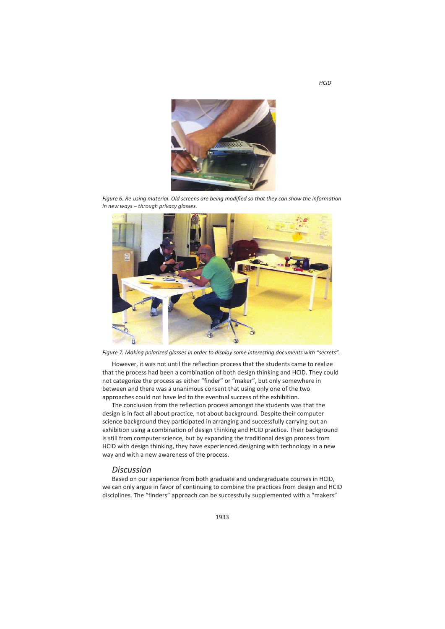

*Figure 6. Re-using material. Old screens are being modified so that they can show the information in new ways – through privacy glasses.* 



*Figure 7. Making polarized glasses in order to display some interesting documents with "secrets".* 

However, it was not until the reflection process that the students came to realize that the process had been a combination of both design thinking and HCID. They could not categorize the process as either "finder" or "maker", but only somewhere in between and there was a unanimous consent that using only one of the two approaches could not have led to the eventual success of the exhibition.

The conclusion from the reflection process amongst the students was that the design is in fact all about practice, not about background. Despite their computer science background they participated in arranging and successfully carrying out an exhibition using a combination of design thinking and HCID practice. Their background is still from computer science, but by expanding the traditional design process from HCID with design thinking, they have experienced designing with technology in a new way and with a new awareness of the process.

### *Discussion*

Based on our experience from both graduate and undergraduate courses in HCID, we can only argue in favor of continuing to combine the practices from design and HCID disciplines. The "finders" approach can be successfully supplemented with a "makers"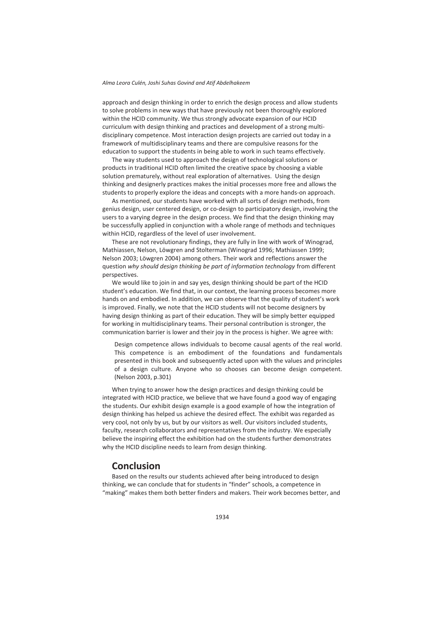approach and design thinking in order to enrich the design process and allow students to solve problems in new ways that have previously not been thoroughly explored within the HCID community. We thus strongly advocate expansion of our HCID curriculum with design thinking and practices and development of a strong multidisciplinary competence. Most interaction design projects are carried out today in a framework of multidisciplinary teams and there are compulsive reasons for the education to support the students in being able to work in such teams effectively.

The way students used to approach the design of technological solutions or products in traditional HCID often limited the creative space by choosing a viable solution prematurely, without real exploration of alternatives. Using the design thinking and designerly practices makes the initial processes more free and allows the students to properly explore the ideas and concepts with a more hands-on approach.

As mentioned, our students have worked with all sorts of design methods, from genius design, user centered design, or co-design to participatory design, involving the users to a varying degree in the design process. We find that the design thinking may be successfully applied in conjunction with a whole range of methods and techniques within HCID, regardless of the level of user involvement.

These are not revolutionary findings, they are fully in line with work of Winograd, Mathiassen, Nelson, Löwgren and Stolterman (Winograd 1996; Mathiassen 1999; Nelson 2003; Löwgren 2004) among others. Their work and reflections answer the question *why should design thinking be part of information technology* from different perspectives.

We would like to join in and say yes, design thinking should be part of the HCID student's education. We find that, in our context, the learning process becomes more hands on and embodied. In addition, we can observe that the quality of student's work is improved. Finally, we note that the HCID students will not become designers by having design thinking as part of their education. They will be simply better equipped for working in multidisciplinary teams. Their personal contribution is stronger, the communication barrier is lower and their joy in the process is higher. We agree with:

Design competence allows individuals to become causal agents of the real world. This competence is an embodiment of the foundations and fundamentals presented in this book and subsequently acted upon with the values and principles of a design culture. Anyone who so chooses can become design competent. (Nelson 2003, p.301)

When trying to answer how the design practices and design thinking could be integrated with HCID practice, we believe that we have found a good way of engaging the students. Our exhibit design example is a good example of how the integration of design thinking has helped us achieve the desired effect. The exhibit was regarded as very cool, not only by us, but by our visitors as well. Our visitors included students, faculty, research collaborators and representatives from the industry. We especially believe the inspiring effect the exhibition had on the students further demonstrates why the HCID discipline needs to learn from design thinking.

## **Conclusion**

Based on the results our students achieved after being introduced to design thinking, we can conclude that for students in "finder" schools, a competence in "making" makes them both better finders and makers. Their work becomes better, and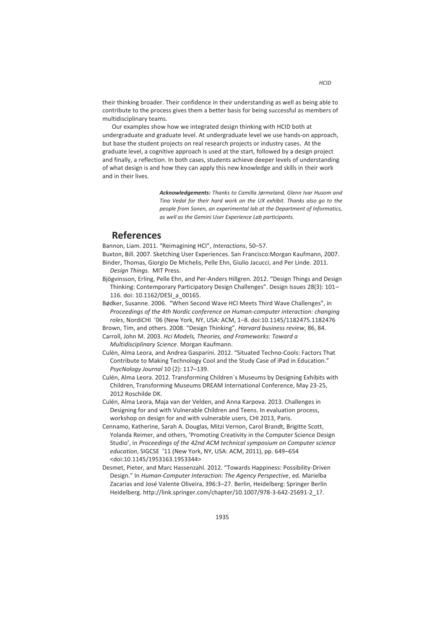their thinking broader. Their confidence in their understanding as well as being able to contribute to the process gives them a better basis for being successful as members of multidisciplinary teams.

Our examples show how we integrated design thinking with HCID both at undergraduate and graduate level. At undergraduate level we use hands-on approach, but base the student projects on real research projects or industry cases. At the graduate level, a cognitive approach is used at the start, followed by a design project and finally, a reflection. In both cases, students achieve deeper levels of understanding of what design is and how they can apply this new knowledge and skills in their work and in their lives.

> *Acknowledgements: Thanks to Camilla Jørmeland, Glenn Ivar Husom and Tina Vedal for their hard work on the UX exhibit. Thanks also go to the people from Sonen, an experimental lab at the Department of Informatics, as well as the Gemini User Experience Lab participants.*

# **References**

Bannon, Liam. 2011. "Reimagining HCI", *Interactions*, 50–57.

- Buxton, Bill. 2007. Sketching User Experiences. San Francisco:Morgan Kaufmann, 2007. Binder, Thomas, Giorgio De Michelis, Pelle Ehn, Giulio Jacucci, and Per Linde. 2011. *Design Things.* MIT Press.
- Bjögvinsson, Erling, Pelle Ehn, and Per-Anders Hillgren. 2012. "Design Things and Design Thinking: Contemporary Participatory Design Challenges". Design Issues 28(3): 101– 116. doi: 10.1162/DESI\_a\_00165.
- Bødker, Susanne. 2006. "When Second Wave HCI Meets Third Wave Challenges", in *Proceedings of the 4th Nordic conference on Human-computer interaction: changing roles*, NordiCHI '06 (New York, NY, USA: ACM, 1–8. doi:10.1145/1182475.1182476

Brown, Tim, and others. 2008. "Design Thinking", *Harvard business review*, 86, 84. Carroll, John M. 2003. *Hci Models, Theories, and Frameworks: Toward a* 

*Multidisciplinary Science*. Morgan Kaufmann.

- Culén, Alma Leora, and Andrea Gasparini. 2012. "Situated Techno-Cools: Factors That Contribute to Making Technology Cool and the Study Case of iPad in Education." *PsycNology Journal* 10 (2): 117–139.
- Culén, Alma Leora. 2012. Transforming Children´s Museums by Designing Exhibits with Children, Transforming Museums DREAM International Conference, May 23-25, 2012 Roschilde DK.
- Culén, Alma Leora, Maja van der Velden, and Anna Karpova. 2013. Challenges in Designing for and with Vulnerable Children and Teens. In evaluation process, workshop on design for and with vulnerable users, CHI 2013, Paris.
- Cennamo, Katherine, Sarah A. Douglas, Mitzi Vernon, Carol Brandt, Brigitte Scott, Yolanda Reimer, and others, 'Promoting Creativity in the Computer Science Design Studio', in *Proceedings of the 42nd ACM technical symposium on Computer science education*, SIGCSE '11 (New York, NY, USA: ACM, 2011), pp. 649–654 <doi:10.1145/1953163.1953344>
- Desmet, Pieter, and Marc Hassenzahl. 2012. "Towards Happiness: Possibility-Driven Design." In *Human-Computer Interaction: The Agency Perspective*, ed. Marielba Zacarias and José Valente Oliveira, 396:3–27. Berlin, Heidelberg: Springer Berlin Heidelberg. http://link.springer.com/chapter/10.1007/978-3-642-25691-2\_1?.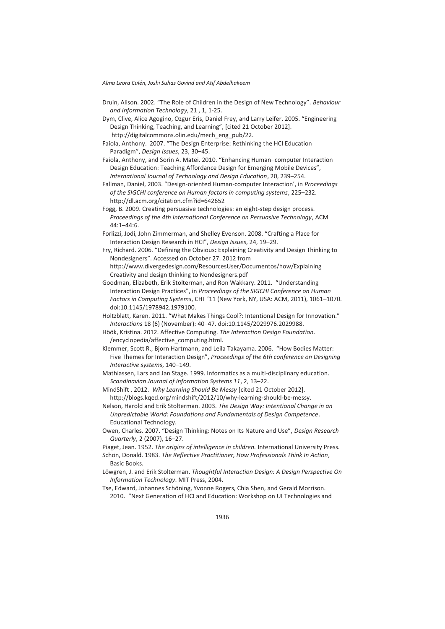- Druin, Alison. 2002. "The Role of Children in the Design of New Technology". *Behaviour and Information Technology*, 21 , 1, 1-25.
- Dym, Clive, Alice Agogino, Ozgur Eris, Daniel Frey, and Larry Leifer. 2005. "Engineering Design Thinking, Teaching, and Learning", [cited 21 October 2012]. http://digitalcommons.olin.edu/mech\_eng\_pub/22.
- Faiola, Anthony. 2007. "The Design Enterprise: Rethinking the HCI Education Paradigm", *Design Issues*, 23, 30–45.
- Faiola, Anthony, and Sorin A. Matei. 2010. "Enhancing Human–computer Interaction Design Education: Teaching Affordance Design for Emerging Mobile Devices", *International Journal of Technology and Design Education*, 20, 239–254.
- Fallman, Daniel, 2003. "Design-oriented Human-computer Interaction', in *Proceedings of the SIGCHI conference on Human factors in computing systems*, 225–232. http://dl.acm.org/citation.cfm?id=642652
- Fogg, B. 2009. Creating persuasive technologies: an eight-step design process. *Proceedings of the 4th International Conference on Persuasive Technology*, ACM  $44.1 - 44.6$
- Forlizzi, Jodi, John Zimmerman, and Shelley Evenson. 2008. "Crafting a Place for Interaction Design Research in HCI", *Design Issues*, 24, 19–29.
- Fry, Richard. 2006. "Defining the Obvious**:** Explaining Creativity and Design Thinking to Nondesigners". Accessed on October 27. 2012 from http://www.divergedesign.com/ResourcesUser/Documentos/how/Explaining
- Creativity and design thinking to Nondesigners.pdf Goodman, Elizabeth, Erik Stolterman, and Ron Wakkary. 2011. "Understanding Interaction Design Practices", in *Proceedings of the SIGCHI Conference on Human Factors in Computing Systems*, CHI '11 (New York, NY, USA: ACM, 2011), 1061–1070.
	- doi:10.1145/1978942.1979100.
- Holtzblatt, Karen. 2011. "What Makes Things Cool?: Intentional Design for Innovation." *Interactions* 18 (6) (November): 40–47. doi:10.1145/2029976.2029988.
- Höök, Kristina. 2012. Affective Computing. *The Interaction Design Foundation*. /encyclopedia/affective\_computing.html.
- Klemmer, Scott R., Bjorn Hartmann, and Leila Takayama. 2006. "How Bodies Matter: Five Themes for Interaction Design", *Proceedings of the 6th conference on Designing Interactive systems*, 140–149.
- Mathiassen, Lars and Jan Stage. 1999. Informatics as a multi-disciplinary education. *Scandinavian Journal of Information Systems 11*, 2, 13–22.
- MindShift . 2012. *Why Learning Should Be Messy* [cited 21 October 2012]. http://blogs.kqed.org/mindshift/2012/10/why-learning-should-be-messy.
- Nelson, Harold and Erik Stolterman. 2003. *The Design Way: Intentional Change in an Unpredictable World: Foundations and Fundamentals of Design Competence*. Educational Technology.
- Owen, Charles. 2007. "Design Thinking: Notes on Its Nature and Use", *Design Research Quarterly*, 2 (2007), 16–27.
- Piaget, Jean. 1952. *The origins of intelligence in children.* International University Press.
- Schön, Donald. 1983. *The Reflective Practitioner, How Professionals Think In Action*, Basic Books.
- Löwgren, J. and Erik Stolterman. *Thoughtful Interaction Design: A Design Perspective On Information Technology*. MIT Press, 2004.
- Tse, Edward, Johannes Schöning, Yvonne Rogers, Chia Shen, and Gerald Morrison. 2010. "Next Generation of HCI and Education: Workshop on UI Technologies and